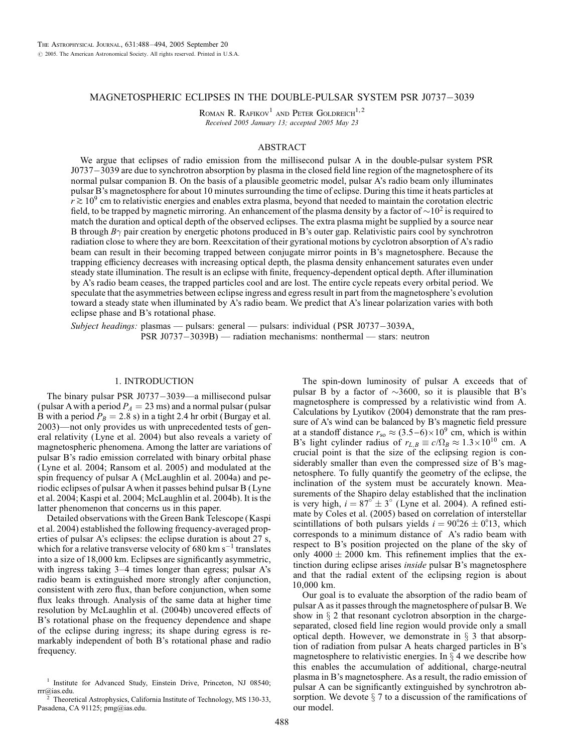## MAGNETOSPHERIC ECLIPSES IN THE DOUBLE-PULSAR SYSTEM PSR J0737-3039

ROMAN R. RAFIKOV<sup>1</sup> AND PETER GOLDREICH<sup>1,2</sup> Received 2005 January 13; accepted 2005 May 23

## ABSTRACT

We argue that eclipses of radio emission from the millisecond pulsar A in the double-pulsar system PSR J0737-3039 are due to synchrotron absorption by plasma in the closed field line region of the magnetosphere of its normal pulsar companion B. On the basis of a plausible geometric model, pulsar A's radio beam only illuminates pulsar B's magnetosphere for about 10 minutes surrounding the time of eclipse. During this time it heats particles at  $r \gtrsim 10^9$  cm to relativistic energies and enables extra plasma, beyond that needed to maintain the corotation electric field, to be trapped by magnetic mirroring. An enhancement of the plasma density by a factor of  $\sim$ 10<sup>2</sup> is required to match the duration and optical depth of the observed eclipses. The extra plasma might be supplied by a source near B through  $B\gamma$  pair creation by energetic photons produced in B's outer gap. Relativistic pairs cool by synchrotron radiation close to where they are born. Reexcitation of their gyrational motions by cyclotron absorption of A's radio beam can result in their becoming trapped between conjugate mirror points in B's magnetosphere. Because the trapping efficiency decreases with increasing optical depth, the plasma density enhancement saturates even under steady state illumination. The result is an eclipse with finite, frequency-dependent optical depth. After illumination by A's radio beam ceases, the trapped particles cool and are lost. The entire cycle repeats every orbital period. We speculate that the asymmetries between eclipse ingress and egress result in part from the magnetosphere's evolution toward a steady state when illuminated by A's radio beam. We predict that A's linear polarization varies with both eclipse phase and B's rotational phase.

Subject headings: plasmas — pulsars: general — pulsars: individual (PSR J0737-3039A, PSR J0737-3039B) — radiation mechanisms: nonthermal — stars: neutron

## 1. INTRODUCTION

The binary pulsar PSR  $J0737-3039$ —a millisecond pulsar (pulsar A with a period  $P_A = 23$  ms) and a normal pulsar (pulsar B with a period  $P_B = 2.8$  s) in a tight 2.4 hr orbit (Burgay et al. 2003)—not only provides us with unprecedented tests of general relativity (Lyne et al. 2004) but also reveals a variety of magnetospheric phenomena. Among the latter are variations of pulsar B's radio emission correlated with binary orbital phase (Lyne et al. 2004; Ransom et al. 2005) and modulated at the spin frequency of pulsar A (McLaughlin et al. 2004a) and periodic eclipses of pulsar Awhen it passes behind pulsar B (Lyne et al. 2004; Kaspi et al. 2004; McLaughlin et al. 2004b). It is the latter phenomenon that concerns us in this paper.

Detailed observations with the Green Bank Telescope (Kaspi et al. 2004) established the following frequency-averaged properties of pulsar A's eclipses: the eclipse duration is about 27 s, which for a relative transverse velocity of 680 km  $s^{-1}$  translates into a size of 18,000 km. Eclipses are significantly asymmetric, with ingress taking 3–4 times longer than egress; pulsar A's radio beam is extinguished more strongly after conjunction, consistent with zero flux, than before conjunction, when some flux leaks through. Analysis of the same data at higher time resolution by McLaughlin et al. (2004b) uncovered effects of B's rotational phase on the frequency dependence and shape of the eclipse during ingress; its shape during egress is remarkably independent of both B's rotational phase and radio frequency.

The spin-down luminosity of pulsar A exceeds that of pulsar B by a factor of  $\sim$ 3600, so it is plausible that B's magnetosphere is compressed by a relativistic wind from A. Calculations by Lyutikov (2004) demonstrate that the ram pressure of A's wind can be balanced by B's magnetic field pressure at a standoff distance  $r_{\rm so} \approx (3.5 - 6) \times 10^9$  cm, which is within B's light cylinder radius of  $r_{L,B} \equiv c/\Omega_B \approx 1.3 \times 10^{10}$  cm. A crucial point is that the size of the eclipsing region is considerably smaller than even the compressed size of B's magnetosphere. To fully quantify the geometry of the eclipse, the inclination of the system must be accurately known. Measurements of the Shapiro delay established that the inclination is very high,  $i = 87^\circ \pm 3^\circ$  (Lyne et al. 2004). A refined estimate by Coles et al. (2005) based on correlation of interstellar scintillations of both pulsars yields  $i = 90^{\circ}26 \pm 0^{\circ}13$ , which corresponds to a minimum distance of A's radio beam with respect to B's position projected on the plane of the sky of only  $4000 \pm 2000$  km. This refinement implies that the extinction during eclipse arises inside pulsar B's magnetosphere and that the radial extent of the eclipsing region is about 10,000 km.

Our goal is to evaluate the absorption of the radio beam of pulsar A as it passes through the magnetosphere of pulsar B. We show in  $\S 2$  that resonant cyclotron absorption in the chargeseparated, closed field line region would provide only a small optical depth. However, we demonstrate in  $\S$  3 that absorption of radiation from pulsar A heats charged particles in B's magnetosphere to relativistic energies. In  $\S$  4 we describe how this enables the accumulation of additional, charge-neutral plasma in B's magnetosphere. As a result, the radio emission of pulsar A can be significantly extinguished by synchrotron absorption. We devote  $\S$  7 to a discussion of the ramifications of our model.

 $^1$  Institute for Advanced Study, Einstein Drive, Princeton, NJ 08540; rrr@ias.edu.

Theoretical Astrophysics, California Institute of Technology, MS 130-33, Pasadena, CA 91125; pmg@ias.edu.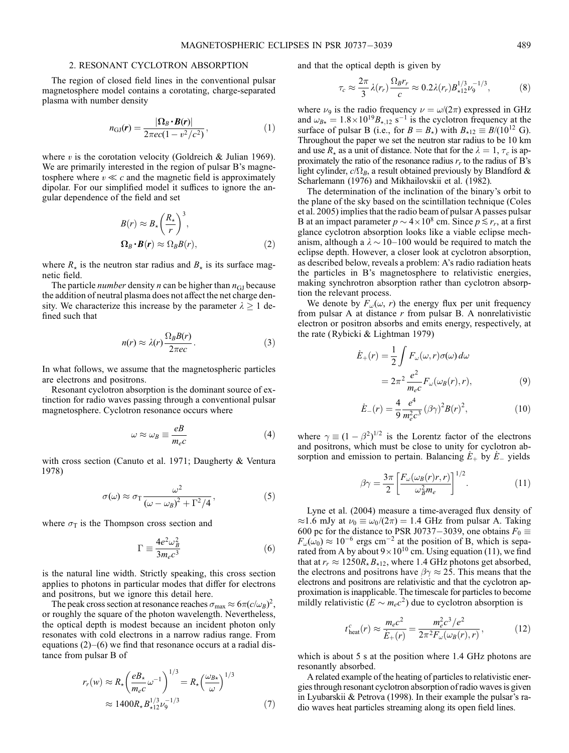## 2. RESONANT CYCLOTRON ABSORPTION

The region of closed field lines in the conventional pulsar magnetosphere model contains a corotating, charge-separated plasma with number density

$$
n_{\rm GJ}(\boldsymbol{r}) = \frac{|\Omega_B \cdot B(\boldsymbol{r})|}{2\pi e c (1 - v^2/c^2)},\tag{1}
$$

where  $v$  is the corotation velocity (Goldreich & Julian 1969). We are primarily interested in the region of pulsar B's magnetosphere where  $v \ll c$  and the magnetic field is approximately dipolar. For our simplified model it suffices to ignore the angular dependence of the field and set

$$
B(r) \approx B_{\star} \left(\frac{R_{\star}}{r}\right)^3,
$$
  

$$
\Omega_B \cdot B(r) \approx \Omega_B B(r),
$$
 (2)

where  $R_{\star}$  is the neutron star radius and  $B_{\star}$  is its surface magnetic field.

The particle *number* density *n* can be higher than  $n_{\text{GI}}$  because the addition of neutral plasma does not affect the net charge density. We characterize this increase by the parameter  $\lambda \ge 1$  defined such that

$$
n(r) \approx \lambda(r) \frac{\Omega_B B(r)}{2\pi e c}.
$$
 (3)

In what follows, we assume that the magnetospheric particles are electrons and positrons.

Resonant cyclotron absorption is the dominant source of extinction for radio waves passing through a conventional pulsar magnetosphere. Cyclotron resonance occurs where

$$
\omega \approx \omega_B \equiv \frac{eB}{m_e c} \tag{4}
$$

with cross section (Canuto et al. 1971; Daugherty & Ventura 1978)

$$
\sigma(\omega) \approx \sigma_{\rm T} \frac{\omega^2}{\left(\omega - \omega_B\right)^2 + \Gamma^2/4},\tag{5}
$$

where  $\sigma_{\rm T}$  is the Thompson cross section and

$$
\Gamma \equiv \frac{4e^2\omega_B^2}{3m_ec^3} \tag{6}
$$

is the natural line width. Strictly speaking, this cross section applies to photons in particular modes that differ for electrons and positrons, but we ignore this detail here.

The peak cross section at resonance reaches  $\sigma_{\text{max}} \approx 6\pi (c/\omega_B)^2$ , or roughly the square of the photon wavelength. Nevertheless, the optical depth is modest because an incident photon only resonates with cold electrons in a narrow radius range. From equations  $(2)$ – $(6)$  we find that resonance occurs at a radial distance from pulsar B of

$$
r_r(w) \approx R_{\star} \left(\frac{eB_{\star}}{m_e c} \omega^{-1}\right)^{1/3} = R_{\star} \left(\frac{\omega_{B\star}}{\omega}\right)^{1/3}
$$
  

$$
\approx 1400 R_{\star} B_{\star 12}^{1/3} \nu_9^{-1/3}
$$
 (7)

and that the optical depth is given by

$$
\tau_c \approx \frac{2\pi}{3} \lambda(r_r) \frac{\Omega_B r_r}{c} \approx 0.2 \lambda(r_r) B_{\star 12}^{1/3} \nu_9^{-1/3},\tag{8}
$$

where  $\nu_9$  is the radio frequency  $\nu = \omega/(2\pi)$  expressed in GHz and  $\omega_{B\star} = 1.8 \times 10^{19} B_{\star,12}$  s<sup>-1</sup> is the cyclotron frequency at the surface of pulsar B (i.e., for  $B = B_{\star}$ ) with  $B_{\star 12} \equiv B/(10^{12} \text{ G})$ . Throughout the paper we set the neutron star radius to be 10 km and use  $R_{\star}$  as a unit of distance. Note that for the  $\lambda = 1, \tau_c$  is approximately the ratio of the resonance radius  $r_r$  to the radius of B's light cylinder,  $c/\Omega_B$ , a result obtained previously by Blandford & Scharlemann (1976) and Mikhailovskii et al. (1982).

The determination of the inclination of the binary's orbit to the plane of the sky based on the scintillation technique (Coles et al. 2005) implies that the radio beam of pulsar A passes pulsar B at an impact parameter  $p \sim 4 \times 10^8$  cm. Since  $p \lesssim r_r$ , at a first glance cyclotron absorption looks like a viable eclipse mechanism, although a  $\lambda \sim 10-100$  would be required to match the eclipse depth. However, a closer look at cyclotron absorption, as described below, reveals a problem: A's radio radiation heats the particles in B's magnetosphere to relativistic energies, making synchrotron absorption rather than cyclotron absorption the relevant process.

We denote by  $F_{\omega}(\omega, r)$  the energy flux per unit frequency from pulsar A at distance  $r$  from pulsar B. A nonrelativistic electron or positron absorbs and emits energy, respectively, at the rate (Rybicki & Lightman 1979)

$$
\dot{E}_{+}(r) = \frac{1}{2} \int F_{\omega}(\omega, r) \sigma(\omega) d\omega
$$

$$
= 2\pi^{2} \frac{e^{2}}{m_{e}c} F_{\omega}(\omega_{B}(r), r), \qquad (9)
$$

$$
\dot{E}_{-}(r) = \frac{4}{9} \frac{e^4}{m_e^2 c^3} (\beta \gamma)^2 B(r)^2,
$$
 (10)

where  $\gamma \equiv (1 - \beta^2)^{1/2}$  is the Lorentz factor of the electrons and positrons, which must be close to unity for cyclotron absorption and emission to pertain. Balancing  $E_+$  by  $E_-$  yields

$$
\beta \gamma = \frac{3\pi}{2} \left[ \frac{F_{\omega}(\omega_B(r)r, r)}{\omega_B^2 m_e} \right]^{1/2}.
$$
 (11)

Lyne et al. (2004) measure a time-averaged flux density of  $\approx$ 1.6 mJy at  $\nu_0 \equiv \omega_0/(2\pi) = 1.4$  GHz from pulsar A. Taking 600 pc for the distance to PSR J0737-3039, one obtains  $F_0 \equiv$  $F_{\omega}(\omega_0) \approx 10^{-6}$  ergs cm<sup>-2</sup> at the position of B, which is separated from A by about  $9 \times 10^{10}$  cm. Using equation (11), we find that at  $r_r \approx 1250R_{\star}B_{\star12}$ , where 1.4 GHz photons get absorbed, the electrons and positrons have  $\beta\gamma \approx 25$ . This means that the electrons and positrons are relativistic and that the cyclotron approximation is inapplicable. The timescale for particles to become mildly relativistic  $(E \sim m_e c^2)$  due to cyclotron absorption is

$$
t_{\text{heat}}^{c}(r) \approx \frac{m_{e}c^{2}}{\dot{E}_{+}(r)} = \frac{m_{e}^{2}c^{3}/e^{2}}{2\pi^{2}F_{\omega}(\omega_{B}(r), r)},
$$
(12)

which is about 5 s at the position where 1.4 GHz photons are resonantly absorbed.

A related example of the heating of particles to relativistic energies through resonant cyclotron absorption of radio waves is given in Lyubarskii & Petrova (1998). In their example the pulsar's radio waves heat particles streaming along its open field lines.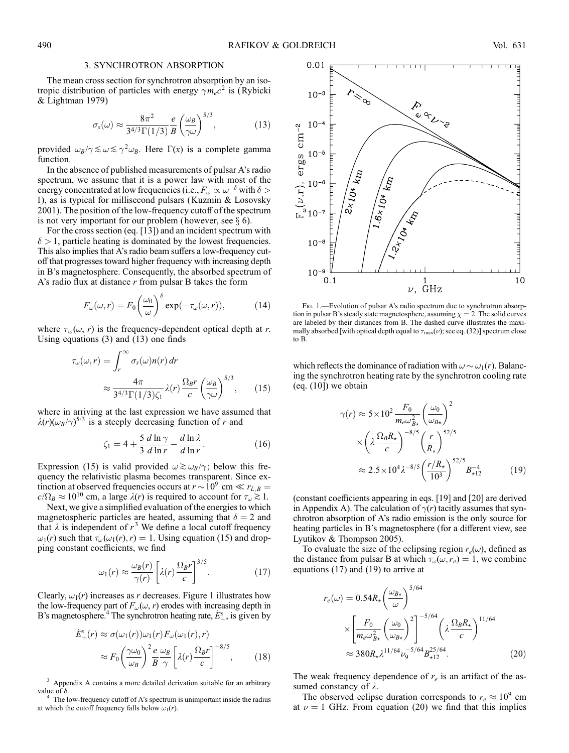## 3. SYNCHROTRON ABSORPTION

The mean cross section for synchrotron absorption by an isotropic distribution of particles with energy  $\gamma m_e c^2$  is (Rybicki & Lightman 1979)

$$
\sigma_s(\omega) \approx \frac{8\pi^2}{3^{4/3}\Gamma(1/3)} \frac{e}{B} \left(\frac{\omega_B}{\gamma \omega}\right)^{5/3},\tag{13}
$$

provided  $\omega_B/\gamma \lesssim \omega \lesssim \gamma^2 \omega_B$ . Here  $\Gamma(x)$  is a complete gamma function.

In the absence of published measurements of pulsar A's radio spectrum, we assume that it is a power law with most of the energy concentrated at low frequencies (i.e.,  $F_{\omega} \propto \omega^{-\delta}$  with  $\delta$  > 1), as is typical for millisecond pulsars (Kuzmin & Losovsky 2001). The position of the low-frequency cutoff of the spectrum is not very important for our problem (however, see  $\S$  6).

For the cross section (eq. [13]) and an incident spectrum with  $\delta > 1$ , particle heating is dominated by the lowest frequencies. This also implies that A's radio beam suffers a low-frequency cutoff that progresses toward higher frequency with increasing depth in B's magnetosphere. Consequently, the absorbed spectrum of A's radio flux at distance  $r$  from pulsar B takes the form

$$
F_{\omega}(\omega, r) = F_0 \left(\frac{\omega_0}{\omega}\right)^{\delta} \exp(-\tau_{\omega}(\omega, r)), \tag{14}
$$

where  $\tau_{\omega}(\omega, r)$  is the frequency-dependent optical depth at r. Using equations (3) and (13) one finds

$$
\tau_{\omega}(\omega, r) = \int_{r}^{\infty} \sigma_{s}(\omega) n(r) dr
$$

$$
\approx \frac{4\pi}{3^{4/3} \Gamma(1/3) \zeta_{1}} \lambda(r) \frac{\Omega_{B} r}{c} \left(\frac{\omega_{B}}{\gamma \omega}\right)^{5/3}, \qquad (15)
$$

where in arriving at the last expression we have assumed that  $\lambda(r)(\omega_B/\gamma)^{5/3}$  is a steeply decreasing function of r and

$$
\zeta_1 = 4 + \frac{5}{3} \frac{d \ln \gamma}{d \ln r} - \frac{d \ln \lambda}{d \ln r}.
$$
 (16)

Expression (15) is valid provided  $\omega \gtrsim \omega_B/\gamma$ ; below this frequency the relativistic plasma becomes transparent. Since extinction at observed frequencies occurs at  $r \sim 10^9$  cm  $\ll r_{L,B}$  $c/\Omega_B \approx 10^{10}$  cm, a large  $\lambda(r)$  is required to account for  $\tau_\omega \gtrsim 1$ .

Next, we give a simplified evaluation of the energies to which magnetospheric particles are heated, assuming that  $\delta = 2$  and that  $\lambda$  is independent of  $r^3$  We define a local cutoff frequency  $\omega_1(r)$  such that  $\tau_\omega(\omega_1(r), r) = 1$ . Using equation (15) and dropping constant coefficients, we find

$$
\omega_1(r) \approx \frac{\omega_B(r)}{\gamma(r)} \left[ \lambda(r) \frac{\Omega_B r}{c} \right]^{3/5}.
$$
 (17)

Clearly,  $\omega_1(r)$  increases as r decreases. Figure 1 illustrates how the low-frequency part of  $F_{\omega}(\omega, r)$  erodes with increasing depth in B's magnetosphere.<sup>4</sup> The synchrotron heating rate,  $\dot{E}_{+}^s$ , is given by

$$
\dot{E}^s_+(r) \approx \sigma(\omega_1(r))\omega_1(r)F_\omega(\omega_1(r),r)
$$

$$
\approx F_0 \left(\frac{\gamma\omega_0}{\omega_B}\right)^2 \frac{e}{B} \frac{\omega_B}{\gamma} \left[\lambda(r)\frac{\Omega_B r}{c}\right]^{-8/5},\tag{18}
$$

<sup>3</sup> Appendix A contains a more detailed derivation suitable for an arbitrary value of  $\delta$ .

The low-frequency cutoff of A's spectrum is unimportant inside the radius at which the cutoff frequency falls below  $\omega_1(r)$ .



Fig. 1.—Evolution of pulsar A's radio spectrum due to synchrotron absorption in pulsar B's steady state magnetosphere, assuming  $\chi = 2$ . The solid curves are labeled by their distances from B. The dashed curve illustrates the maximally absorbed [with optical depth equal to  $\tau_{\text{max}}(\nu)$ ; see eq. (32)] spectrum close to B.

which reflects the dominance of radiation with  $\omega \sim \omega_1(r)$ . Balancing the synchrotron heating rate by the synchrotron cooling rate (eq. (10]) we obtain

$$
\gamma(r) \approx 5 \times 10^2 \frac{F_0}{m_e \omega_{B\star}^2} \left(\frac{\omega_0}{\omega_{B\star}}\right)^2
$$

$$
\times \left(\lambda \frac{\Omega_B R_\star}{c}\right)^{-8/5} \left(\frac{r}{R_\star}\right)^{52/5}
$$

$$
\approx 2.5 \times 10^4 \lambda^{-8/5} \left(\frac{r/R_\star}{10^3}\right)^{52/5} B_{\star 12}^{-4} \tag{19}
$$

(constant coefficients appearing in eqs. [19] and [20] are derived in Appendix A). The calculation of  $\gamma(r)$  tacitly assumes that synchrotron absorption of A's radio emission is the only source for heating particles in B's magnetosphere (for a different view, see Lyutikov & Thompson 2005).

To evaluate the size of the eclipsing region  $r_e(\omega)$ , defined as the distance from pulsar B at which  $\tau_{\omega}(\omega, r_e) = 1$ , we combine equations (17) and (19) to arrive at

$$
r_e(\omega) = 0.54R_{\star} \left(\frac{\omega_{B\star}}{\omega}\right)^{5/64}
$$

$$
\times \left[\frac{F_0}{m_e \omega_{B\star}^2} \left(\frac{\omega_0}{\omega_{B\star}}\right)^2\right]^{-5/64} \left(\lambda \frac{\Omega_B R_{\star}}{c}\right)^{11/64}
$$

$$
\approx 380R_{\star} \lambda^{11/64} \nu_9^{-5/64} B_{\star 12}^{25/64}.
$$
 (20)

The weak frequency dependence of  $r_e$  is an artifact of the assumed constancy of  $\lambda$ .

The observed eclipse duration corresponds to  $r_e \approx 10^9$  cm at  $\nu = 1$  GHz. From equation (20) we find that this implies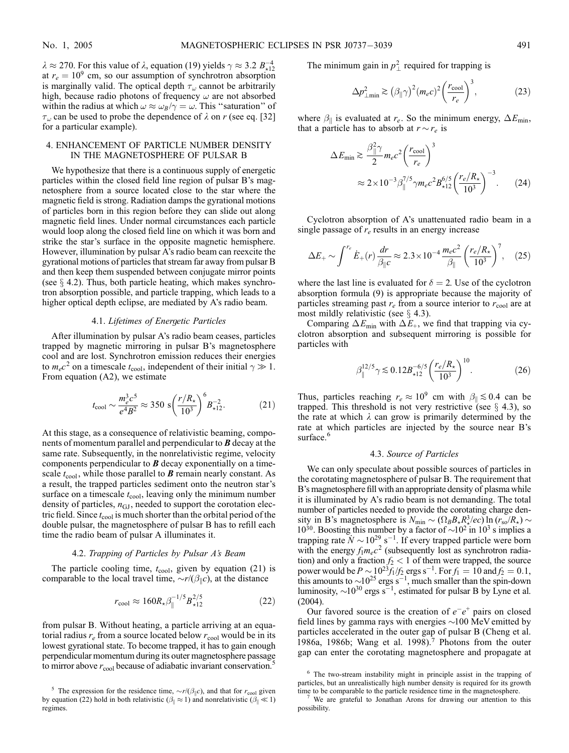$\lambda \approx 270$ . For this value of  $\lambda$ , equation (19) yields  $\gamma \approx 3.2 B_{\star 12}^{-4}$ at  $r_e = 10^9$  cm, so our assumption of synchrotron absorption is marginally valid. The optical depth  $\tau_{\omega}$  cannot be arbitrarily high, because radio photons of frequency  $\omega$  are not absorbed within the radius at which  $\omega \approx \omega_B / \gamma = \omega$ . This "saturation" of  $\tau_{\omega}$  can be used to probe the dependence of  $\lambda$  on r (see eq. [32] for a particular example).

# 4. ENHANCEMENT OF PARTICLE NUMBER DENSITY IN THE MAGNETOSPHERE OF PULSAR B

We hypothesize that there is a continuous supply of energetic particles within the closed field line region of pulsar B's magnetosphere from a source located close to the star where the magnetic field is strong. Radiation damps the gyrational motions of particles born in this region before they can slide out along magnetic field lines. Under normal circumstances each particle would loop along the closed field line on which it was born and strike the star's surface in the opposite magnetic hemisphere. However, illumination by pulsar A's radio beam can reexcite the gyrational motions of particles that stream far away from pulsar B and then keep them suspended between conjugate mirror points (see  $\S$  4.2). Thus, both particle heating, which makes synchrotron absorption possible, and particle trapping, which leads to a higher optical depth eclipse, are mediated by A's radio beam.

## 4.1. Lifetimes of Energetic Particles

After illumination by pulsar A's radio beam ceases, particles trapped by magnetic mirroring in pulsar B's magnetosphere cool and are lost. Synchrotron emission reduces their energies to  $m_e c^2$  on a timescale  $t_{\rm cool}$ , independent of their initial  $\gamma \gg 1$ . From equation (A2), we estimate

$$
t_{\text{cool}} \sim \frac{m_e^3 c^5}{e^4 B^2} \approx 350 \text{ s} \left(\frac{r/R_{\star}}{10^3}\right)^6 B_{\star 12}^{-2}.
$$
 (21)

At this stage, as a consequence of relativistic beaming, components of momentum parallel and perpendicular to **B** decay at the same rate. Subsequently, in the nonrelativistic regime, velocity components perpendicular to  $\bf{B}$  decay exponentially on a timescale  $t_{\text{cool}}$ , while those parallel to **B** remain nearly constant. As a result, the trapped particles sediment onto the neutron star's surface on a timescale  $t_{\text{cool}}$ , leaving only the minimum number density of particles,  $n_{\text{GJ}}$ , needed to support the corotation electric field. Since  $t_{\rm cool}$  is much shorter than the orbital period of the double pulsar, the magnetosphere of pulsar B has to refill each time the radio beam of pulsar A illuminates it.

## 4.2. Trapping of Particles by Pulsar A's Beam

The particle cooling time,  $t_{\text{cool}}$ , given by equation (21) is comparable to the local travel time,  $\sim r/(\beta_{\parallel} c)$ , at the distance

$$
r_{\rm cool} \approx 160 R_{\star} \beta_{\parallel}^{-1/5} B_{\star 12}^{2/5} \tag{22}
$$

from pulsar B. Without heating, a particle arriving at an equatorial radius  $r_e$  from a source located below  $r_{\text{cool}}$  would be in its lowest gyrational state. To become trapped, it has to gain enough perpendicular momentum during its outer magnetosphere passage to mirror above  $r_{\rm cool}$  because of adiabatic invariant conservation.<sup>5</sup>

The minimum gain in  $p_{\perp}^2$  required for trapping is

$$
\Delta p_{\perp \text{min}}^2 \gtrsim \left(\beta_{\parallel} \gamma\right)^2 (m_e c)^2 \left(\frac{r_{\text{cool}}}{r_e}\right)^3,\tag{23}
$$

where  $\beta_{\parallel}$  is evaluated at  $r_e$ . So the minimum energy,  $\Delta E_{\text{min}}$ , that a particle has to absorb at  $r \sim r_e$  is

$$
\Delta E_{\text{min}} \gtrsim \frac{\beta_{\parallel}^2 \gamma}{2} m_e c^2 \left(\frac{r_{\text{cool}}}{r_e}\right)^3
$$

$$
\approx 2 \times 10^{-3} \beta_{\parallel}^{7/5} \gamma m_e c^2 B_{\star 12}^{6/5} \left(\frac{r_e/R_{\star}}{10^3}\right)^{-3} . \tag{24}
$$

Cyclotron absorption of A's unattenuated radio beam in a single passage of  $r_e$  results in an energy increase

$$
\Delta E_{+} \sim \int^{r_e} \dot{E}_{+}(r) \frac{dr}{\beta_{\parallel} c} \approx 2.3 \times 10^{-4} \frac{m_e c^2}{\beta_{\parallel}} \left(\frac{r_e/R_{\star}}{10^3}\right)^7, \quad (25)
$$

where the last line is evaluated for  $\delta = 2$ . Use of the cyclotron absorption formula (9) is appropriate because the majority of particles streaming past  $r_e$  from a source interior to  $r_{\text{cool}}$  are at most mildly relativistic (see  $\S$  4.3).

Comparing  $\Delta E_{\text{min}}$  with  $\Delta E_{+}$ , we find that trapping via cyclotron absorption and subsequent mirroring is possible for particles with

$$
\beta_{\parallel}^{12/5} \gamma \lesssim 0.12 B_{\star 12}^{-6/5} \left( \frac{r_e/R_{\star}}{10^3} \right)^{10} . \tag{26}
$$

Thus, particles reaching  $r_e \approx 10^9$  cm with  $\beta_{\parallel} \lesssim 0.4$  can be trapped. This threshold is not very restrictive (see  $\S$  4.3), so the rate at which  $\lambda$  can grow is primarily determined by the rate at which particles are injected by the source near B's surface.<sup>6</sup>

# 4.3. Source of Particles

We can only speculate about possible sources of particles in the corotating magnetosphere of pulsar B. The requirement that B's magnetosphere fill with an appropriate density of plasma while it is illuminated by A's radio beam is not demanding. The total number of particles needed to provide the corotating charge density in B's magnetosphere is  $N_{\text{min}} \sim (\Omega_B B_{\star} R_{\star}^3/ec) \ln (r_{\text{so}}/R_{\star}) \sim 10^{30}$ . Boosting this number by a factor of  $\sim 10^2$  in 10<sup>3</sup> s implies a trapping rate  $N \sim 10^{29}$  s<sup>-1</sup>. If every trapped particle were born with the energy  $f_1m_ec^2$  (subsequently lost as synchrotron radiation) and only a fraction  $f_2 < 1$  of them were trapped, the source power would be  $P \sim 10^{23} f_1/f_2$  ergs s<sup>-1</sup>. For  $f_1 = 10$  and  $f_2 = 0.1$ , this amounts to  $\sim 10^{25}$  ergs s<sup>-1</sup>, much smaller than the spin-down luminosity,  $\sim 10^{30}$  ergs s<sup>-1</sup>, estimated for pulsar B by Lyne et al. (2004).

Our favored source is the creation of  $e^-e^+$  pairs on closed field lines by gamma rays with energies  $\sim$ 100 MeV emitted by particles accelerated in the outer gap of pulsar B (Cheng et al. 1986a, 1986b; Wang et al. 1998).<sup>7</sup> Photons from the outer gap can enter the corotating magnetosphere and propagate at

<sup>&</sup>lt;sup>5</sup> The expression for the residence time,  $\sim r/(\beta_{\parallel} c)$ , and that for  $r_{\text{cool}}$  given by equation (22) hold in both relativistic ( $\beta_{\parallel} \approx 1$ ) and nonrelativistic ( $\beta_{\parallel} \ll 1$ ) regimes.

<sup>6</sup> The two-stream instability might in principle assist in the trapping of particles, but an unrealistically high number density is required for its growth

time to be comparable to the particle residence time in the magnetosphere.<br><sup>7</sup> We are grateful to Jonathan Arons for drawing our attention to this possibility.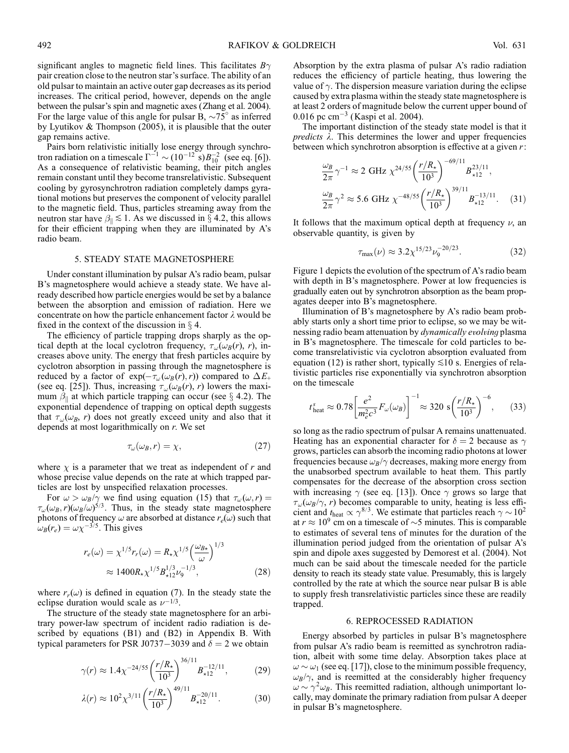significant angles to magnetic field lines. This facilitates  $B\gamma$ pair creation close to the neutron star's surface. The ability of an old pulsar to maintain an active outer gap decreases as its period increases. The critical period, however, depends on the angle between the pulsar's spin and magnetic axes (Zhang et al. 2004). For the large value of this angle for pulsar B,  $\sim 75^\circ$  as inferred by Lyutikov & Thompson (2005), it is plausible that the outer gap remains active.

Pairs born relativistic initially lose energy through synchrotron radiation on a timescale  $\Gamma^{-1} \sim (10^{-12} \text{ s}) B_{10}^{-2}$  (see eq. [6]). As a consequence of relativistic beaming, their pitch angles remain constant until they become transrelativistic. Subsequent cooling by gyrosynchrotron radiation completely damps gyrational motions but preserves the component of velocity parallel to the magnetic field. Thus, particles streaming away from the neutron star have  $\beta_{\parallel} \lesssim 1$ . As we discussed in  $\S$  4.2, this allows for their efficient trapping when they are illuminated by A's radio beam.

### 5. STEADY STATE MAGNETOSPHERE

Under constant illumination by pulsar A's radio beam, pulsar B's magnetosphere would achieve a steady state. We have already described how particle energies would be set by a balance between the absorption and emission of radiation. Here we concentrate on how the particle enhancement factor  $\lambda$  would be fixed in the context of the discussion in  $\S$  4.

The efficiency of particle trapping drops sharply as the optical depth at the local cyclotron frequency,  $\tau_{\omega}(\omega_B(r), r)$ , increases above unity. The energy that fresh particles acquire by cyclotron absorption in passing through the magnetosphere is reduced by a factor of  $exp(-\tau_{\omega}(\omega_B(r),r))$  compared to  $\Delta E_+$ (see eq. [25]). Thus, increasing  $\tau_{\omega}(\omega_B(r), r)$  lowers the maximum  $\beta_{\parallel}$  at which particle trapping can occur (see  $\S$  4.2). The exponential dependence of trapping on optical depth suggests that  $\tau_{\omega}(\omega_{B}, r)$  does not greatly exceed unity and also that it depends at most logarithmically on r. We set

$$
\tau_{\omega}(\omega_B, r) = \chi,\tag{27}
$$

where  $\chi$  is a parameter that we treat as independent of r and whose precise value depends on the rate at which trapped particles are lost by unspecified relaxation processes.

For  $\omega > \omega_B/\gamma$  we find using equation (15) that  $\tau_\omega(\omega, r) =$  $\tau_{\omega}(\omega_{B}, r)(\omega_{B}/\omega)^{5/3}$ . Thus, in the steady state magnetosphere photons of frequency  $\omega$  are absorbed at distance  $r_e(\omega)$  such that  $\omega_B(r_e) = \omega \chi^{-3/5}$ . This gives

$$
r_e(\omega) = \chi^{1/5} r_r(\omega) = R_\star \chi^{1/5} \left(\frac{\omega_{B\star}}{\omega}\right)^{1/3}
$$
  
 
$$
\approx 1400 R_\star \chi^{1/5} B_{\star 12}^{1/3} \nu_9^{-1/3}, \qquad (28)
$$

where  $r_r(\omega)$  is defined in equation (7). In the steady state the eclipse duration would scale as  $\nu^{-1/3}$ .

The structure of the steady state magnetosphere for an arbitrary power-law spectrum of incident radio radiation is described by equations (B1) and (B2) in Appendix B. With typical parameters for PSR J0737-3039 and  $\delta = 2$  we obtain

$$
\gamma(r) \approx 1.4 \chi^{-24/55} \left(\frac{r/R_{\star}}{10^3}\right)^{36/11} B_{\star 12}^{-12/11},\tag{29}
$$

$$
\lambda(r) \approx 10^2 \chi^{3/11} \left(\frac{r/R_{\star}}{10^3}\right)^{49/11} B_{\star 12}^{-20/11}.
$$
 (30)

Absorption by the extra plasma of pulsar A's radio radiation reduces the efficiency of particle heating, thus lowering the value of  $\gamma$ . The dispersion measure variation during the eclipse caused by extra plasma within the steady state magnetosphere is at least 2 orders of magnitude below the current upper bound of 0.016 pc  $cm^{-3}$  (Kaspi et al. 2004).

The important distinction of the steady state model is that it *predicts*  $\lambda$ . This determines the lower and upper frequencies between which synchrotron absorption is effective at a given  $r$ :

$$
\frac{\omega_B}{2\pi} \gamma^{-1} \approx 2 \text{ GHz } \chi^{24/55} \left(\frac{r/R_{\star}}{10^3}\right)^{-69/11} B_{\star 12}^{23/11},
$$
  

$$
\frac{\omega_B}{2\pi} \gamma^2 \approx 5.6 \text{ GHz } \chi^{-48/55} \left(\frac{r/R_{\star}}{10^3}\right)^{39/11} B_{\star 12}^{-13/11}.
$$
 (31)

It follows that the maximum optical depth at frequency  $\nu$ , an observable quantity, is given by

$$
\tau_{\text{max}}(\nu) \approx 3.2 \chi^{15/23} \nu_9^{-20/23}.\tag{32}
$$

Figure 1 depicts the evolution of the spectrum of A's radio beam with depth in B's magnetosphere. Power at low frequencies is gradually eaten out by synchrotron absorption as the beam propagates deeper into B's magnetosphere.

Illumination of B's magnetosphere by A's radio beam probably starts only a short time prior to eclipse, so we may be witnessing radio beam attenuation by dynamically evolving plasma in B's magnetosphere. The timescale for cold particles to become transrelativistic via cyclotron absorption evaluated from equation (12) is rather short, typically  $\leq 10$  s. Energies of relativistic particles rise exponentially via synchrotron absorption on the timescale

$$
t_{\text{heat}}^s \approx 0.78 \left[ \frac{e^2}{m_e^2 c^3} F_\omega(\omega_B) \right]^{-1} \approx 320 \text{ s} \left( \frac{r/R_\star}{10^3} \right)^{-6}, \quad (33)
$$

so long as the radio spectrum of pulsar A remains unattenuated. Heating has an exponential character for  $\delta = 2$  because as  $\gamma$ grows, particles can absorb the incoming radio photons at lower frequencies because  $\omega_B/\gamma$  decreases, making more energy from the unabsorbed spectrum available to heat them. This partly compensates for the decrease of the absorption cross section with increasing  $\gamma$  (see eq. [13]). Once  $\gamma$  grows so large that  $\tau_{\omega}(\omega_{B}/\gamma, r)$  becomes comparable to unity, heating is less efficient and  $t_{\rm heat} \propto \gamma^{8/3}$ . We estimate that particles reach  $\gamma \sim 10^2$ at  $r \approx 10^9$  cm on a timescale of  $\sim$ 5 minutes. This is comparable to estimates of several tens of minutes for the duration of the illumination period judged from the orientation of pulsar A's spin and dipole axes suggested by Demorest et al. (2004). Not much can be said about the timescale needed for the particle density to reach its steady state value. Presumably, this is largely controlled by the rate at which the source near pulsar B is able to supply fresh transrelativistic particles since these are readily trapped.

## 6. REPROCESSED RADIATION

Energy absorbed by particles in pulsar B's magnetosphere from pulsar A's radio beam is reemitted as synchrotron radiation, albeit with some time delay. Absorption takes place at  $\omega$   $\sim$   $\omega_1$  (see eq. [17]), close to the minimum possible frequency,  $\omega_B/\gamma$ , and is reemitted at the considerably higher frequency  $\omega \sim \gamma^2 \omega_B$ . This reemitted radiation, although unimportant locally, may dominate the primary radiation from pulsar A deeper in pulsar B's magnetosphere.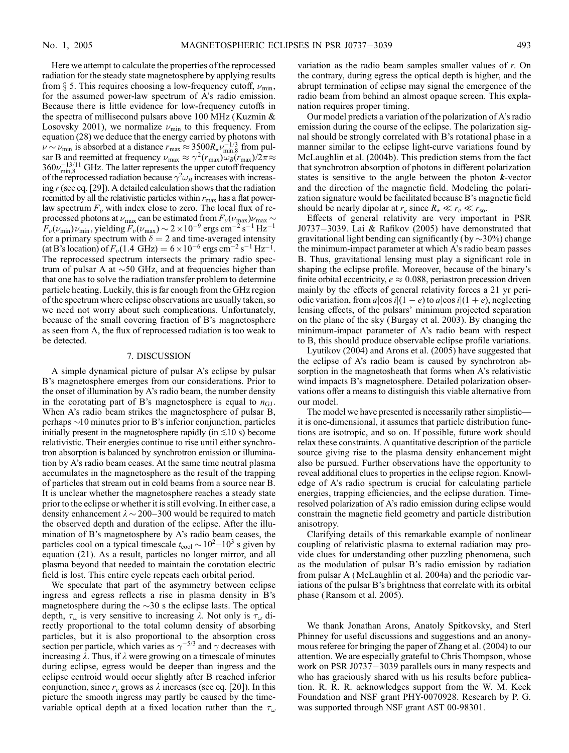Here we attempt to calculate the properties of the reprocessed radiation for the steady state magnetosphere by applying results from  $\S$  5. This requires choosing a low-frequency cutoff,  $\nu_{\min}$ , for the assumed power-law spectrum of A's radio emission. Because there is little evidence for low-frequency cutoffs in the spectra of millisecond pulsars above 100 MHz (Kuzmin & Losovsky 2001), we normalize  $\nu_{\min}$  to this frequency. From equation (28) we deduce that the energy carried by photons with  $\nu \sim \nu_{\min}$  is absorbed at a distance  $r_{\max} \approx 3500 R_{\star} \nu_{\min,8}^{-1/3}$  from pulsar B and reemitted at frequency  $\nu_{\text{max}} \approx \gamma^2(r_{\text{max}})\omega_B(r_{\text{max}})/2\pi \approx$  $360\nu_{\text{min},8}^{-13/11}$  GHz. The latter represents the upper cutoff frequency of the reprocessed radiation because  $\gamma^2 \omega_B$  increases with increasing  $r$  (see eq. [29]). A detailed calculation shows that the radiation reemitted by all the relativistic particles within  $r_{\text{max}}$  has a flat powerlaw spectrum  $F_{\nu}$  with index close to zero. The local flux of reprocessed photons at  $\nu_{\text{max}}$  can be estimated from  $F_{\nu}(\nu_{\text{max}})\nu_{\text{max}} \sim$  $F_{\nu}(\nu_{\rm min})\nu_{\rm min}$ , yielding  $F_{\nu}(\nu_{\rm max}) \sim 2 \times 10^{-9}$  ergs cm<sup>-2</sup> s<sup>-1</sup> Hz<sup>-1</sup> for a primary spectrum with  $\delta = 2$  and time-averaged intensity (at B's location) of  $F_v(1.4 \text{ GHz}) = 6 \times 10^{-6} \text{ ergs cm}^{-2} \text{ s}^{-1} \text{ Hz}^{-1}$ . The reprocessed spectrum intersects the primary radio spectrum of pulsar A at  $\sim$  50 GHz, and at frequencies higher than that one has to solve the radiation transfer problem to determine particle heating. Luckily, this is far enough from the GHz region of the spectrum where eclipse observations are usually taken, so we need not worry about such complications. Unfortunately, because of the small covering fraction of B's magnetosphere as seen from A, the flux of reprocessed radiation is too weak to be detected.

## 7. DISCUSSION

A simple dynamical picture of pulsar A's eclipse by pulsar B's magnetosphere emerges from our considerations. Prior to the onset of illumination by A's radio beam, the number density in the corotating part of B's magnetosphere is equal to  $n_{\text{GJ}}$ . When A's radio beam strikes the magnetosphere of pulsar B, perhaps  $\sim$ 10 minutes prior to B's inferior conjunction, particles initially present in the magnetosphere rapidly (in  $\leq 10$  s) become relativistic. Their energies continue to rise until either synchrotron absorption is balanced by synchrotron emission or illumination by A's radio beam ceases. At the same time neutral plasma accumulates in the magnetosphere as the result of the trapping of particles that stream out in cold beams from a source near B. It is unclear whether the magnetosphere reaches a steady state prior to the eclipse or whether it is still evolving. In either case, a density enhancement  $\lambda \sim 200-300$  would be required to match the observed depth and duration of the eclipse. After the illumination of B's magnetosphere by A's radio beam ceases, the particles cool on a typical timescale  $t_{\text{cool}} \sim 10^2 - 10^3$  s given by equation (21). As a result, particles no longer mirror, and all plasma beyond that needed to maintain the corotation electric field is lost. This entire cycle repeats each orbital period.

We speculate that part of the asymmetry between eclipse ingress and egress reflects a rise in plasma density in B's magnetosphere during the  $\sim$ 30 s the eclipse lasts. The optical depth,  $\tau_{\omega}$  is very sensitive to increasing  $\lambda$ . Not only is  $\tau_{\omega}$  directly proportional to the total column density of absorbing particles, but it is also proportional to the absorption cross section per particle, which varies as  $\gamma^{-5/3}$  and  $\gamma$  decreases with increasing  $\lambda$ . Thus, if  $\lambda$  were growing on a timescale of minutes during eclipse, egress would be deeper than ingress and the eclipse centroid would occur slightly after B reached inferior conjunction, since  $r_e$  grows as  $\lambda$  increases (see eq. [20]). In this picture the smooth ingress may partly be caused by the timevariable optical depth at a fixed location rather than the  $\tau_{\omega}$  variation as the radio beam samples smaller values of r. On the contrary, during egress the optical depth is higher, and the abrupt termination of eclipse may signal the emergence of the radio beam from behind an almost opaque screen. This explanation requires proper timing.

Our model predicts a variation of the polarization of A's radio emission during the course of the eclipse. The polarization signal should be strongly correlated with B's rotational phase in a manner similar to the eclipse light-curve variations found by McLaughlin et al. (2004b). This prediction stems from the fact that synchrotron absorption of photons in different polarization states is sensitive to the angle between the photon  $k$ -vector and the direction of the magnetic field. Modeling the polarization signature would be facilitated because B's magnetic field should be nearly dipolar at  $r_e$  since  $R_{\star} \ll r_e \ll r_{\rm so}$ .

Effects of general relativity are very important in PSR J0737 $-3039$ . Lai & Rafikov (2005) have demonstrated that gravitational light bending can significantly (by  $\sim$ 30%) change the minimum-impact parameter at which A's radio beam passes B. Thus, gravitational lensing must play a significant role in shaping the eclipse profile. Moreover, because of the binary's finite orbital eccentricity,  $e \approx 0.088$ , periastron precession driven mainly by the effects of general relativity forces a 21 yr periodic variation, from  $a|\cos i|(1 - e)$  to  $a|\cos i|(1 + e)$ , neglecting lensing effects, of the pulsars' minimum projected separation on the plane of the sky (Burgay et al. 2003). By changing the minimum-impact parameter of A's radio beam with respect to B, this should produce observable eclipse profile variations.

Lyutikov (2004) and Arons et al. (2005) have suggested that the eclipse of A's radio beam is caused by synchrotron absorption in the magnetosheath that forms when A's relativistic wind impacts B's magnetosphere. Detailed polarization observations offer a means to distinguish this viable alternative from our model.

The model we have presented is necessarily rather simplistic it is one-dimensional, it assumes that particle distribution functions are isotropic, and so on. If possible, future work should relax these constraints. A quantitative description of the particle source giving rise to the plasma density enhancement might also be pursued. Further observations have the opportunity to reveal additional clues to properties in the eclipse region. Knowledge of A's radio spectrum is crucial for calculating particle energies, trapping efficiencies, and the eclipse duration. Timeresolved polarization of A's radio emission during eclipse would constrain the magnetic field geometry and particle distribution anisotropy.

Clarifying details of this remarkable example of nonlinear coupling of relativistic plasma to external radiation may provide clues for understanding other puzzling phenomena, such as the modulation of pulsar B's radio emission by radiation from pulsar A (McLaughlin et al. 2004a) and the periodic variations of the pulsar B's brightness that correlate with its orbital phase (Ransom et al. 2005).

We thank Jonathan Arons, Anatoly Spitkovsky, and Sterl Phinney for useful discussions and suggestions and an anonymous referee for bringing the paper of Zhang et al. (2004) to our attention. We are especially grateful to Chris Thompson, whose work on PSR J0737 $-3039$  parallels ours in many respects and who has graciously shared with us his results before publication. R. R. R. acknowledges support from the W. M. Keck Foundation and NSF grant PHY-0070928. Research by P. G. was supported through NSF grant AST 00-98301.